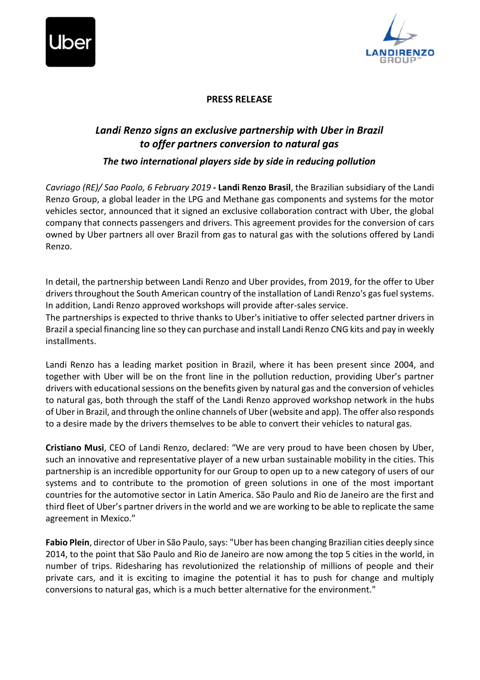



## **PRESS RELEASE**

## *Landi Renzo signs an exclusive partnership with Uber in Brazil to offer partners conversion to natural gas*

*The two international players side by side in reducing pollution*

*Cavriago (RE)/ Sao Paolo, 6 February 2019* **- Landi Renzo Brasil**, the Brazilian subsidiary of the Landi Renzo Group, a global leader in the LPG and Methane gas components and systems for the motor vehicles sector, announced that it signed an exclusive collaboration contract with Uber, the global company that connects passengers and drivers. This agreement provides for the conversion of cars owned by Uber partners all over Brazil from gas to natural gas with the solutions offered by Landi Renzo.

In detail, the partnership between Landi Renzo and Uber provides, from 2019, for the offer to Uber drivers throughout the South American country of the installation of Landi Renzo's gas fuel systems. In addition, Landi Renzo approved workshops will provide after-sales service.

The partnerships is expected to thrive thanks to Uber's initiative to offer selected partner drivers in Brazil a special financing line so they can purchase and install Landi Renzo CNG kits and pay in weekly installments.

Landi Renzo has a leading market position in Brazil, where it has been present since 2004, and together with Uber will be on the front line in the pollution reduction, providing Uber's partner drivers with educational sessions on the benefits given by natural gas and the conversion of vehicles to natural gas, both through the staff of the Landi Renzo approved workshop network in the hubs of Uber in Brazil, and through the online channels of Uber (website and app). The offer also responds to a desire made by the drivers themselves to be able to convert their vehicles to natural gas.

**Cristiano Musi**, CEO of Landi Renzo, declared: "We are very proud to have been chosen by Uber, such an innovative and representative player of a new urban sustainable mobility in the cities. This partnership is an incredible opportunity for our Group to open up to a new category of users of our systems and to contribute to the promotion of green solutions in one of the most important countries for the automotive sector in Latin America. São Paulo and Rio de Janeiro are the first and third fleet of Uber's partner drivers in the world and we are working to be able to replicate the same agreement in Mexico."

**Fabio Plein**, director of Uber in São Paulo, says: "Uber has been changing Brazilian cities deeply since 2014, to the point that São Paulo and Rio de Janeiro are now among the top 5 cities in the world, in number of trips. Ridesharing has revolutionized the relationship of millions of people and their private cars, and it is exciting to imagine the potential it has to push for change and multiply conversions to natural gas, which is a much better alternative for the environment."